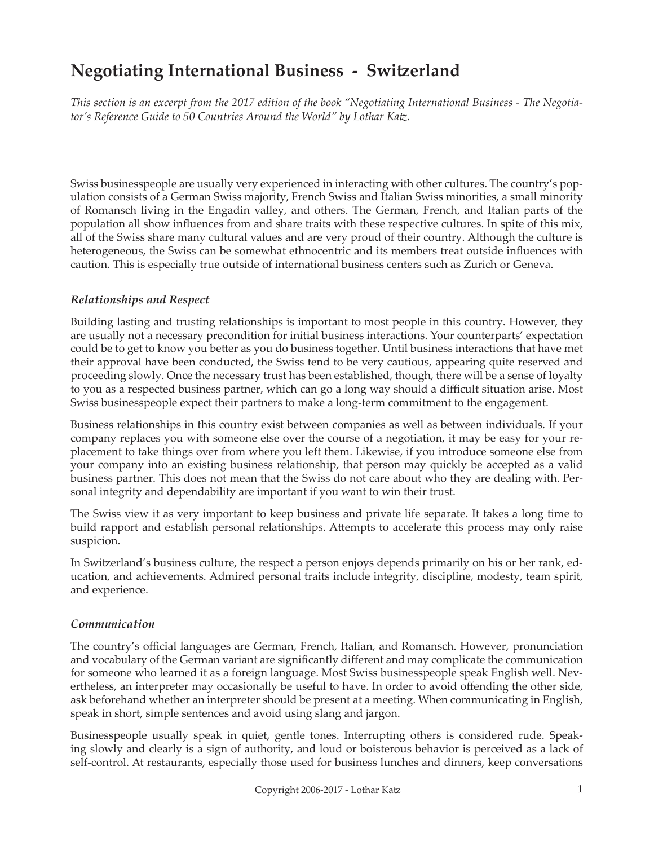# **Negotiating International Business - Switzerland**

*This section is an excerpt from the 2017 edition of the book "Negotiating International Business - The Negotiator's Reference Guide to 50 Countries Around the World" by Lothar Katz.*

Swiss businesspeople are usually very experienced in interacting with other cultures. The country's population consists of a German Swiss majority, French Swiss and Italian Swiss minorities, a small minority of Romansch living in the Engadin valley, and others. The German, French, and Italian parts of the population all show influences from and share traits with these respective cultures. In spite of this mix, all of the Swiss share many cultural values and are very proud of their country. Although the culture is heterogeneous, the Swiss can be somewhat ethnocentric and its members treat outside influences with caution. This is especially true outside of international business centers such as Zurich or Geneva.

### *Relationships and Respect*

Building lasting and trusting relationships is important to most people in this country. However, they are usually not a necessary precondition for initial business interactions. Your counterparts' expectation could be to get to know you better as you do business together. Until business interactions that have met their approval have been conducted, the Swiss tend to be very cautious, appearing quite reserved and proceeding slowly. Once the necessary trust has been established, though, there will be a sense of loyalty to you as a respected business partner, which can go a long way should a difficult situation arise. Most Swiss businesspeople expect their partners to make a long-term commitment to the engagement.

Business relationships in this country exist between companies as well as between individuals. If your company replaces you with someone else over the course of a negotiation, it may be easy for your replacement to take things over from where you left them. Likewise, if you introduce someone else from your company into an existing business relationship, that person may quickly be accepted as a valid business partner. This does not mean that the Swiss do not care about who they are dealing with. Personal integrity and dependability are important if you want to win their trust.

The Swiss view it as very important to keep business and private life separate. It takes a long time to build rapport and establish personal relationships. Attempts to accelerate this process may only raise suspicion.

In Switzerland's business culture, the respect a person enjoys depends primarily on his or her rank, education, and achievements. Admired personal traits include integrity, discipline, modesty, team spirit, and experience.

### *Communication*

The country's official languages are German, French, Italian, and Romansch. However, pronunciation and vocabulary of the German variant are significantly different and may complicate the communication for someone who learned it as a foreign language. Most Swiss businesspeople speak English well. Nevertheless, an interpreter may occasionally be useful to have. In order to avoid offending the other side, ask beforehand whether an interpreter should be present at a meeting. When communicating in English, speak in short, simple sentences and avoid using slang and jargon.

Businesspeople usually speak in quiet, gentle tones. Interrupting others is considered rude. Speaking slowly and clearly is a sign of authority, and loud or boisterous behavior is perceived as a lack of self-control. At restaurants, especially those used for business lunches and dinners, keep conversations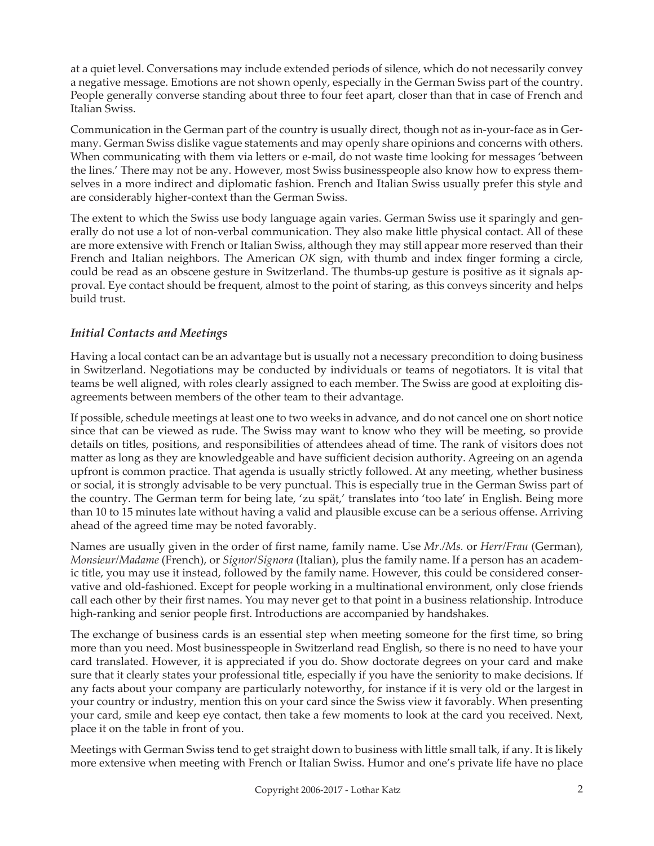at a quiet level. Conversations may include extended periods of silence, which do not necessarily convey a negative message. Emotions are not shown openly, especially in the German Swiss part of the country. People generally converse standing about three to four feet apart, closer than that in case of French and Italian Swiss.

Communication in the German part of the country is usually direct, though not as in-your-face as in Germany. German Swiss dislike vague statements and may openly share opinions and concerns with others. When communicating with them via letters or e-mail, do not waste time looking for messages 'between the lines.' There may not be any. However, most Swiss businesspeople also know how to express themselves in a more indirect and diplomatic fashion. French and Italian Swiss usually prefer this style and are considerably higher-context than the German Swiss.

The extent to which the Swiss use body language again varies. German Swiss use it sparingly and generally do not use a lot of non-verbal communication. They also make little physical contact. All of these are more extensive with French or Italian Swiss, although they may still appear more reserved than their French and Italian neighbors. The American *OK* sign, with thumb and index finger forming a circle, could be read as an obscene gesture in Switzerland. The thumbs-up gesture is positive as it signals approval. Eye contact should be frequent, almost to the point of staring, as this conveys sincerity and helps build trust.

## *Initial Contacts and Meetings*

Having a local contact can be an advantage but is usually not a necessary precondition to doing business in Switzerland. Negotiations may be conducted by individuals or teams of negotiators. It is vital that teams be well aligned, with roles clearly assigned to each member. The Swiss are good at exploiting disagreements between members of the other team to their advantage.

If possible, schedule meetings at least one to two weeks in advance, and do not cancel one on short notice since that can be viewed as rude. The Swiss may want to know who they will be meeting, so provide details on titles, positions, and responsibilities of attendees ahead of time. The rank of visitors does not matter as long as they are knowledgeable and have sufficient decision authority. Agreeing on an agenda upfront is common practice. That agenda is usually strictly followed. At any meeting, whether business or social, it is strongly advisable to be very punctual. This is especially true in the German Swiss part of the country. The German term for being late, 'zu spät,' translates into 'too late' in English. Being more than 10 to 15 minutes late without having a valid and plausible excuse can be a serious offense. Arriving ahead of the agreed time may be noted favorably.

Names are usually given in the order of first name, family name. Use *Mr./Ms.* or *Herr/Frau* (German), *Monsieur/Madame* (French), or *Signor/Signora* (Italian), plus the family name. If a person has an academic title, you may use it instead, followed by the family name. However, this could be considered conservative and old-fashioned. Except for people working in a multinational environment, only close friends call each other by their first names. You may never get to that point in a business relationship. Introduce high-ranking and senior people first. Introductions are accompanied by handshakes.

The exchange of business cards is an essential step when meeting someone for the first time, so bring more than you need. Most businesspeople in Switzerland read English, so there is no need to have your card translated. However, it is appreciated if you do. Show doctorate degrees on your card and make sure that it clearly states your professional title, especially if you have the seniority to make decisions. If any facts about your company are particularly noteworthy, for instance if it is very old or the largest in your country or industry, mention this on your card since the Swiss view it favorably. When presenting your card, smile and keep eye contact, then take a few moments to look at the card you received. Next, place it on the table in front of you.

Meetings with German Swiss tend to get straight down to business with little small talk, if any. It is likely more extensive when meeting with French or Italian Swiss. Humor and one's private life have no place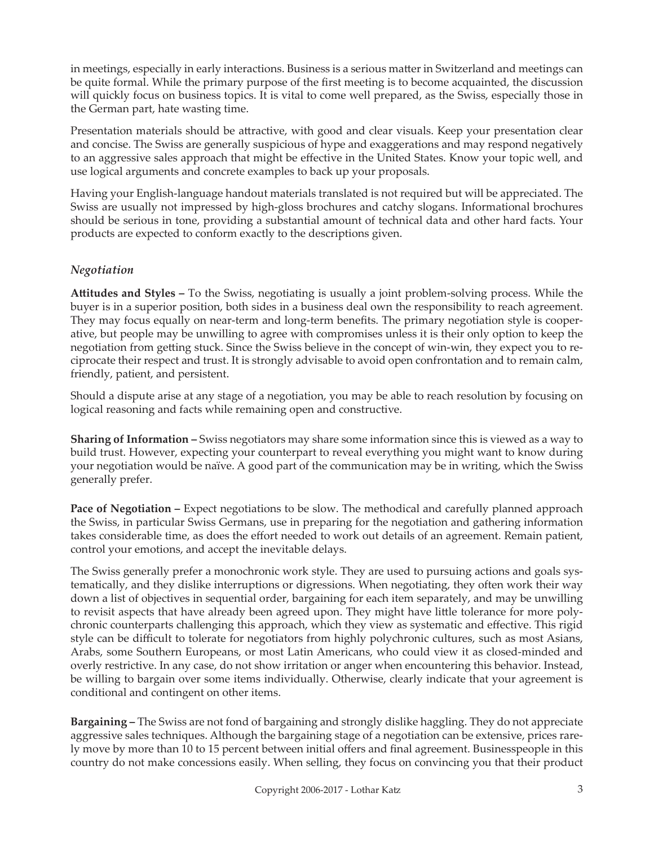in meetings, especially in early interactions. Business is a serious matter in Switzerland and meetings can be quite formal. While the primary purpose of the first meeting is to become acquainted, the discussion will quickly focus on business topics. It is vital to come well prepared, as the Swiss, especially those in the German part, hate wasting time.

Presentation materials should be attractive, with good and clear visuals. Keep your presentation clear and concise. The Swiss are generally suspicious of hype and exaggerations and may respond negatively to an aggressive sales approach that might be effective in the United States. Know your topic well, and use logical arguments and concrete examples to back up your proposals.

Having your English-language handout materials translated is not required but will be appreciated. The Swiss are usually not impressed by high-gloss brochures and catchy slogans. Informational brochures should be serious in tone, providing a substantial amount of technical data and other hard facts. Your products are expected to conform exactly to the descriptions given.

## *Negotiation*

**Attitudes and Styles –** To the Swiss, negotiating is usually a joint problem-solving process. While the buyer is in a superior position, both sides in a business deal own the responsibility to reach agreement. They may focus equally on near-term and long-term benefits. The primary negotiation style is cooperative, but people may be unwilling to agree with compromises unless it is their only option to keep the negotiation from getting stuck. Since the Swiss believe in the concept of win-win, they expect you to reciprocate their respect and trust. It is strongly advisable to avoid open confrontation and to remain calm, friendly, patient, and persistent.

Should a dispute arise at any stage of a negotiation, you may be able to reach resolution by focusing on logical reasoning and facts while remaining open and constructive.

**Sharing of Information –** Swiss negotiators may share some information since this is viewed as a way to build trust. However, expecting your counterpart to reveal everything you might want to know during your negotiation would be naïve. A good part of the communication may be in writing, which the Swiss generally prefer.

**Pace of Negotiation – Expect negotiations to be slow. The methodical and carefully planned approach** the Swiss, in particular Swiss Germans, use in preparing for the negotiation and gathering information takes considerable time, as does the effort needed to work out details of an agreement. Remain patient, control your emotions, and accept the inevitable delays.

The Swiss generally prefer a monochronic work style. They are used to pursuing actions and goals systematically, and they dislike interruptions or digressions. When negotiating, they often work their way down a list of objectives in sequential order, bargaining for each item separately, and may be unwilling to revisit aspects that have already been agreed upon. They might have little tolerance for more polychronic counterparts challenging this approach, which they view as systematic and effective. This rigid style can be difficult to tolerate for negotiators from highly polychronic cultures, such as most Asians, Arabs, some Southern Europeans, or most Latin Americans, who could view it as closed-minded and overly restrictive. In any case, do not show irritation or anger when encountering this behavior. Instead, be willing to bargain over some items individually. Otherwise, clearly indicate that your agreement is conditional and contingent on other items.

**Bargaining –** The Swiss are not fond of bargaining and strongly dislike haggling. They do not appreciate aggressive sales techniques. Although the bargaining stage of a negotiation can be extensive, prices rarely move by more than 10 to 15 percent between initial offers and final agreement. Businesspeople in this country do not make concessions easily. When selling, they focus on convincing you that their product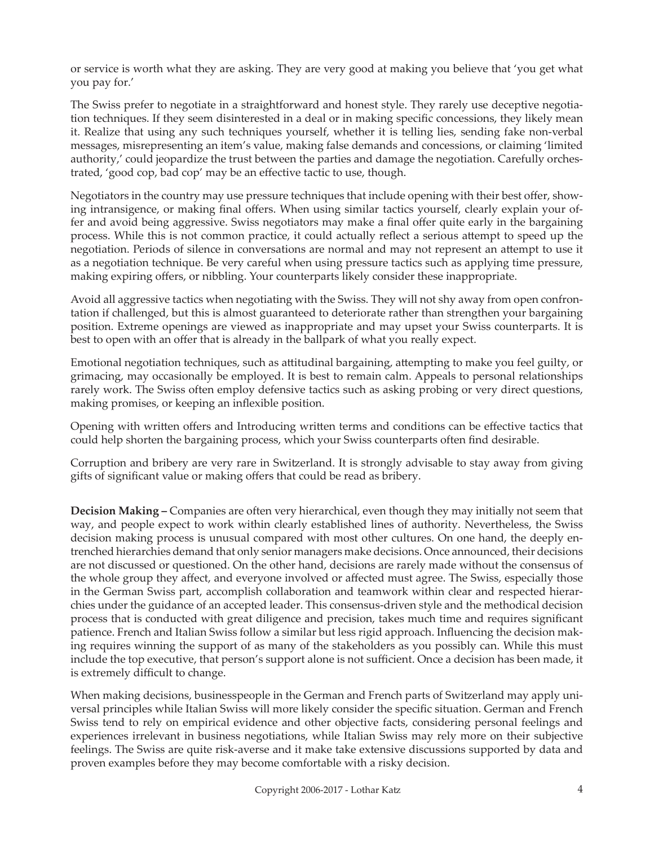or service is worth what they are asking. They are very good at making you believe that 'you get what you pay for.'

The Swiss prefer to negotiate in a straightforward and honest style. They rarely use deceptive negotiation techniques. If they seem disinterested in a deal or in making specific concessions, they likely mean it. Realize that using any such techniques yourself, whether it is telling lies, sending fake non-verbal messages, misrepresenting an item's value, making false demands and concessions, or claiming 'limited authority,' could jeopardize the trust between the parties and damage the negotiation. Carefully orchestrated, 'good cop, bad cop' may be an effective tactic to use, though.

Negotiators in the country may use pressure techniques that include opening with their best offer, showing intransigence, or making final offers. When using similar tactics yourself, clearly explain your offer and avoid being aggressive. Swiss negotiators may make a final offer quite early in the bargaining process. While this is not common practice, it could actually reflect a serious attempt to speed up the negotiation. Periods of silence in conversations are normal and may not represent an attempt to use it as a negotiation technique. Be very careful when using pressure tactics such as applying time pressure, making expiring offers, or nibbling. Your counterparts likely consider these inappropriate.

Avoid all aggressive tactics when negotiating with the Swiss. They will not shy away from open confrontation if challenged, but this is almost guaranteed to deteriorate rather than strengthen your bargaining position. Extreme openings are viewed as inappropriate and may upset your Swiss counterparts. It is best to open with an offer that is already in the ballpark of what you really expect.

Emotional negotiation techniques, such as attitudinal bargaining, attempting to make you feel guilty, or grimacing, may occasionally be employed. It is best to remain calm. Appeals to personal relationships rarely work. The Swiss often employ defensive tactics such as asking probing or very direct questions, making promises, or keeping an inflexible position.

Opening with written offers and Introducing written terms and conditions can be effective tactics that could help shorten the bargaining process, which your Swiss counterparts often find desirable.

Corruption and bribery are very rare in Switzerland. It is strongly advisable to stay away from giving gifts of significant value or making offers that could be read as bribery.

**Decision Making –** Companies are often very hierarchical, even though they may initially not seem that way, and people expect to work within clearly established lines of authority. Nevertheless, the Swiss decision making process is unusual compared with most other cultures. On one hand, the deeply entrenched hierarchies demand that only senior managers make decisions. Once announced, their decisions are not discussed or questioned. On the other hand, decisions are rarely made without the consensus of the whole group they affect, and everyone involved or affected must agree. The Swiss, especially those in the German Swiss part, accomplish collaboration and teamwork within clear and respected hierarchies under the guidance of an accepted leader. This consensus-driven style and the methodical decision process that is conducted with great diligence and precision, takes much time and requires significant patience. French and Italian Swiss follow a similar but less rigid approach. Influencing the decision making requires winning the support of as many of the stakeholders as you possibly can. While this must include the top executive, that person's support alone is not sufficient. Once a decision has been made, it is extremely difficult to change.

When making decisions, businesspeople in the German and French parts of Switzerland may apply universal principles while Italian Swiss will more likely consider the specific situation. German and French Swiss tend to rely on empirical evidence and other objective facts, considering personal feelings and experiences irrelevant in business negotiations, while Italian Swiss may rely more on their subjective feelings. The Swiss are quite risk-averse and it make take extensive discussions supported by data and proven examples before they may become comfortable with a risky decision.